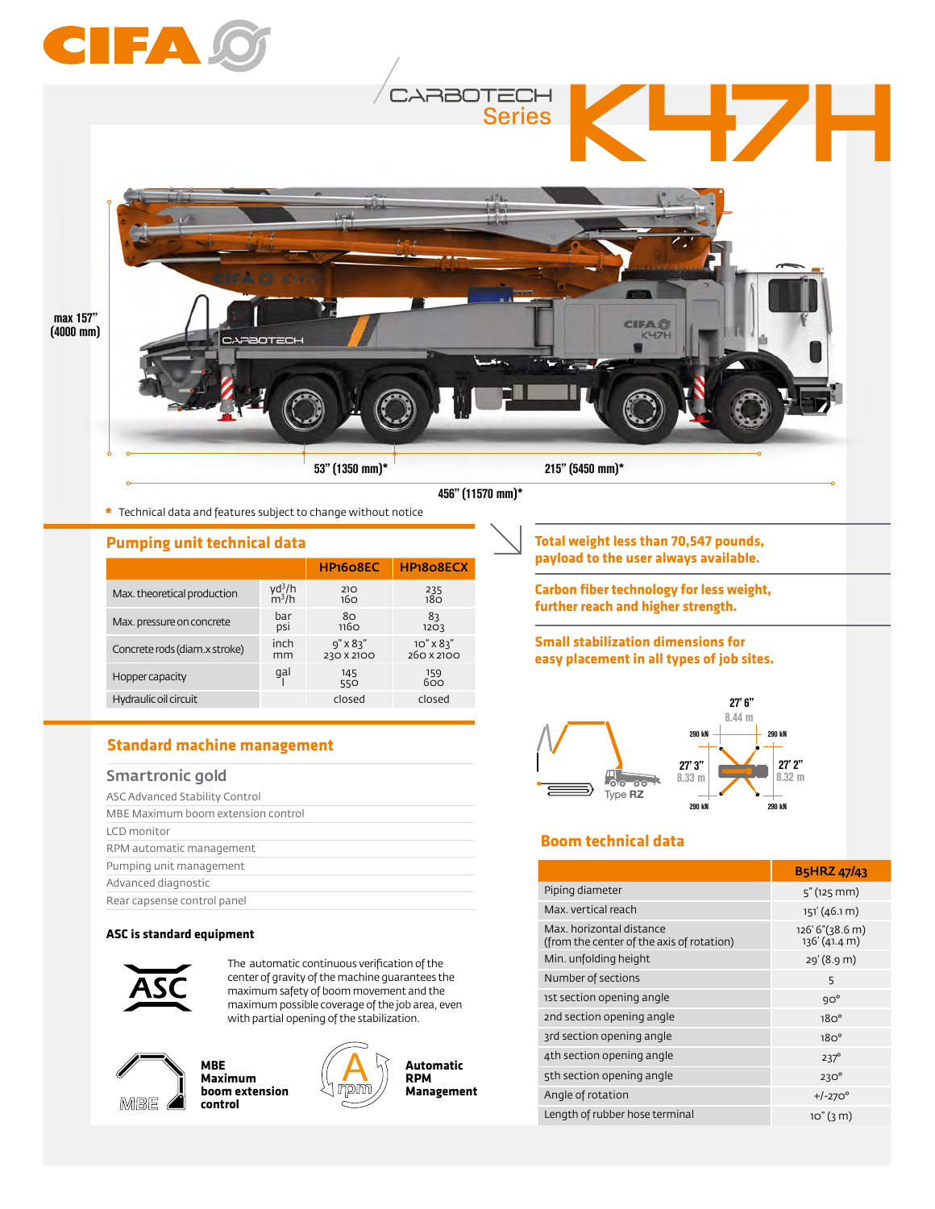

**\*** Technical data and features subject to change without notice

#### **Pumping unit technical data**

|                               |          | HP <sub>160</sub> 8EC | HP <sub>1808</sub> ECX |
|-------------------------------|----------|-----------------------|------------------------|
| Max. theoretical production   | $yd^3/h$ | 210                   | 235                    |
|                               | $m^3/h$  | 160                   | 18 <sub>O</sub>        |
| Max. pressure on concrete     | bar      | 80                    | 83                     |
|                               | psi      | 1160                  | 1203                   |
| Concrete rods (diam.x stroke) | inch     | $9'' \times 83''$     | $10'' \times 83''$     |
|                               | mm       | 230 X 2100            | 260 X 2100             |
| Hopper capacity               | gal      | 145<br>550            | 159<br>600             |
| Hydraulic oil circuit         |          | closed                | closed                 |

### **Standard machine management**

#### Smartronic gold

| ASC Advanced Stability Control     |  |
|------------------------------------|--|
| MBE Maximum boom extension control |  |
| LCD monitor                        |  |
| RPM automatic management           |  |
| Pumping unit management            |  |
| Advanced diagnostic                |  |
| Rear capsense control panel        |  |

#### **ASC is standard equipment**



The automatic continuous verification of the center of gravity of the machine guarantees the maximum safety of boom movement and the maximum possible coverage of the job area, even with partial opening of the stabilization.



**MBE Maximum boom extension control**



**Automatic RPM Management** **Total weight less than 70,547 pounds, payload to the user always available.** 

**Carbon fiber technology for less weight, further reach and higher strength.**

#### **Small stabilization dimensions for easy placement in all types of job sites.**



## **Boom technical data**

|                                                                       | <b>B5HRZ 47/43</b>               |
|-----------------------------------------------------------------------|----------------------------------|
| Piping diameter                                                       | $5''$ (125 mm)                   |
| Max. vertical reach                                                   | 151' (46.1 m)                    |
| Max, horizontal distance<br>(from the center of the axis of rotation) | 126' 6"(38.6 m)<br>136' (41.4 m) |
| Min. unfolding height                                                 | 29' (8.9 m)                      |
| Number of sections                                                    | 5                                |
| 1st section opening angle                                             | $9O^{\circ}$                     |
| 2nd section opening angle                                             | $18O^{\circ}$                    |
| 3rd section opening angle                                             | 18O <sup>o</sup>                 |
| 4th section opening angle                                             | $237^\circ$                      |
| 5th section opening angle                                             | $230^\circ$                      |
| Angle of rotation                                                     | $+/-270^{\circ}$                 |
| Length of rubber hose terminal                                        | 10''(3 <sub>m</sub> )            |